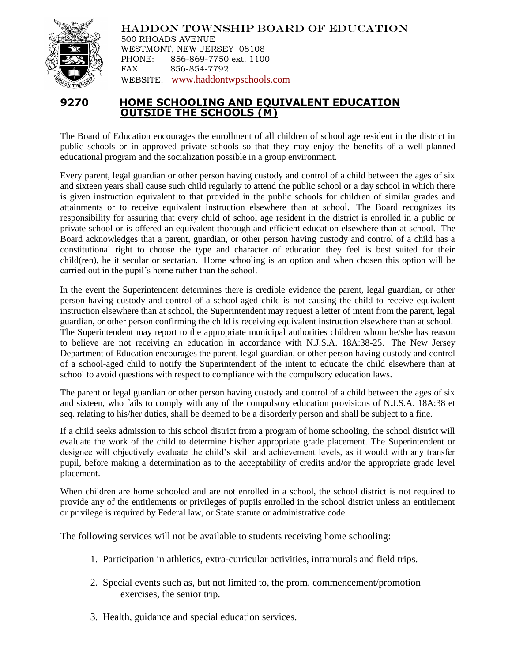

HADDON TOWNSHIP BOARD OF EDUCATION

500 RHOADS AVENUE WESTMONT, NEW JERSEY 08108 PHONE: 856-869-7750 ext. 1100 FAX: 856-854-7792 WEBSITE: [www.haddontwpschools.com](http://www.haddontwpschools.com/)

## **9270 HOME SCHOOLING AND EQUIVALENT EDUCATION OUTSIDE THE SCHOOLS (M)**

The Board of Education encourages the enrollment of all children of school age resident in the district in public schools or in approved private schools so that they may enjoy the benefits of a well-planned educational program and the socialization possible in a group environment.

Every parent, legal guardian or other person having custody and control of a child between the ages of six and sixteen years shall cause such child regularly to attend the public school or a day school in which there is given instruction equivalent to that provided in the public schools for children of similar grades and attainments or to receive equivalent instruction elsewhere than at school. The Board recognizes its responsibility for assuring that every child of school age resident in the district is enrolled in a public or private school or is offered an equivalent thorough and efficient education elsewhere than at school. The Board acknowledges that a parent, guardian, or other person having custody and control of a child has a constitutional right to choose the type and character of education they feel is best suited for their child(ren), be it secular or sectarian. Home schooling is an option and when chosen this option will be carried out in the pupil's home rather than the school.

In the event the Superintendent determines there is credible evidence the parent, legal guardian, or other person having custody and control of a school-aged child is not causing the child to receive equivalent instruction elsewhere than at school, the Superintendent may request a letter of intent from the parent, legal guardian, or other person confirming the child is receiving equivalent instruction elsewhere than at school. The Superintendent may report to the appropriate municipal authorities children whom he/she has reason to believe are not receiving an education in accordance with N.J.S.A. 18A:38-25. The New Jersey Department of Education encourages the parent, legal guardian, or other person having custody and control of a school-aged child to notify the Superintendent of the intent to educate the child elsewhere than at school to avoid questions with respect to compliance with the compulsory education laws.

The parent or legal guardian or other person having custody and control of a child between the ages of six and sixteen, who fails to comply with any of the compulsory education provisions of N.J.S.A. 18A:38 et seq. relating to his/her duties, shall be deemed to be a disorderly person and shall be subject to a fine.

If a child seeks admission to this school district from a program of home schooling, the school district will evaluate the work of the child to determine his/her appropriate grade placement. The Superintendent or designee will objectively evaluate the child's skill and achievement levels, as it would with any transfer pupil, before making a determination as to the acceptability of credits and/or the appropriate grade level placement.

When children are home schooled and are not enrolled in a school, the school district is not required to provide any of the entitlements or privileges of pupils enrolled in the school district unless an entitlement or privilege is required by Federal law, or State statute or administrative code.

The following services will not be available to students receiving home schooling:

- 1. Participation in athletics, extra-curricular activities, intramurals and field trips.
- 2. Special events such as, but not limited to, the prom, commencement/promotion exercises, the senior trip.
- 3. Health, guidance and special education services.